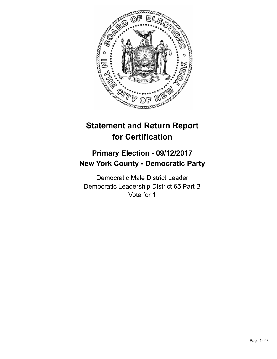

## **Statement and Return Report for Certification**

## **Primary Election - 09/12/2017 New York County - Democratic Party**

Democratic Male District Leader Democratic Leadership District 65 Part B Vote for 1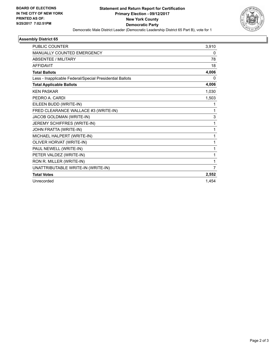

## **Assembly District 65**

| <b>PUBLIC COUNTER</b>                                    | 3,910 |
|----------------------------------------------------------|-------|
| MANUALLY COUNTED EMERGENCY                               | 0     |
| <b>ABSENTEE / MILITARY</b>                               | 78    |
| <b>AFFIDAVIT</b>                                         | 18    |
| <b>Total Ballots</b>                                     | 4,006 |
| Less - Inapplicable Federal/Special Presidential Ballots | 0     |
| <b>Total Applicable Ballots</b>                          | 4,006 |
| <b>KEN PASKAR</b>                                        | 1,030 |
| PEDRO A. CARDI                                           | 1,503 |
| EILEEN BUDD (WRITE-IN)                                   | 1     |
| FRED CLEARANCE WALLACE #3 (WRITE-IN)                     | 1     |
| JACOB GOLDMAN (WRITE-IN)                                 | 3     |
| JEREMY SCHIFFRES (WRITE-IN)                              | 1     |
| JOHN FRATTA (WRITE-IN)                                   | 1     |
| MICHAEL HALPERT (WRITE-IN)                               | 1     |
| OLIVER HORVAT (WRITE-IN)                                 | 1     |
| PAUL NEWELL (WRITE-IN)                                   | 1     |
| PETER VALDEZ (WRITE-IN)                                  | 1     |
| RON R. MILLER (WRITE-IN)                                 | 1     |
| UNATTRIBUTABLE WRITE-IN (WRITE-IN)                       | 7     |
| <b>Total Votes</b>                                       | 2,552 |
| Unrecorded                                               | 1.454 |